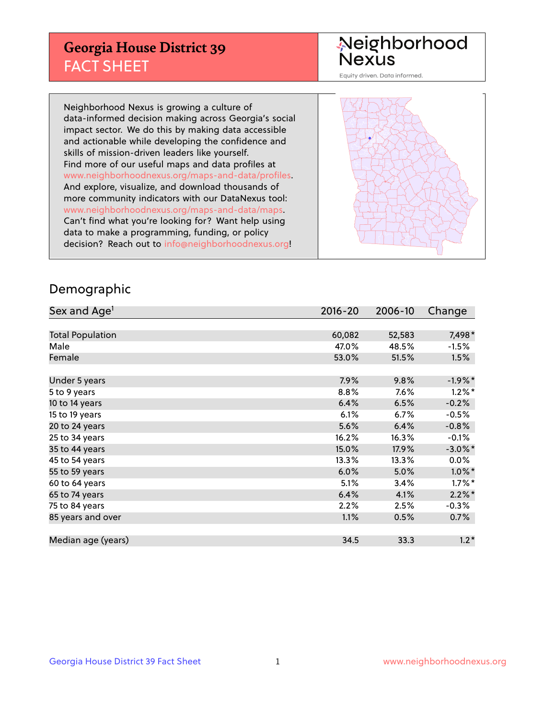## **Georgia House District 39** FACT SHEET

# Neighborhood<br>Nexus

Equity driven. Data informed.

Neighborhood Nexus is growing a culture of data-informed decision making across Georgia's social impact sector. We do this by making data accessible and actionable while developing the confidence and skills of mission-driven leaders like yourself. Find more of our useful maps and data profiles at www.neighborhoodnexus.org/maps-and-data/profiles. And explore, visualize, and download thousands of more community indicators with our DataNexus tool: www.neighborhoodnexus.org/maps-and-data/maps. Can't find what you're looking for? Want help using data to make a programming, funding, or policy decision? Reach out to [info@neighborhoodnexus.org!](mailto:info@neighborhoodnexus.org)



#### Demographic

| Sex and Age <sup>1</sup> | 2016-20 | 2006-10 | Change     |
|--------------------------|---------|---------|------------|
|                          |         |         |            |
| <b>Total Population</b>  | 60,082  | 52,583  | 7,498*     |
| Male                     | 47.0%   | 48.5%   | $-1.5%$    |
| Female                   | 53.0%   | 51.5%   | 1.5%       |
|                          |         |         |            |
| Under 5 years            | 7.9%    | 9.8%    | $-1.9%$ *  |
| 5 to 9 years             | 8.8%    | 7.6%    | $1.2\%$ *  |
| 10 to 14 years           | 6.4%    | 6.5%    | $-0.2%$    |
| 15 to 19 years           | 6.1%    | 6.7%    | $-0.5%$    |
| 20 to 24 years           | 5.6%    | 6.4%    | $-0.8%$    |
| 25 to 34 years           | 16.2%   | 16.3%   | $-0.1%$    |
| 35 to 44 years           | 15.0%   | 17.9%   | $-3.0\%$ * |
| 45 to 54 years           | 13.3%   | 13.3%   | 0.0%       |
| 55 to 59 years           | 6.0%    | 5.0%    | $1.0\%$ *  |
| 60 to 64 years           | 5.1%    | 3.4%    | $1.7\%$ *  |
| 65 to 74 years           | 6.4%    | 4.1%    | $2.2\%$ *  |
| 75 to 84 years           | 2.2%    | 2.5%    | $-0.3%$    |
| 85 years and over        | 1.1%    | 0.5%    | $0.7\%$    |
|                          |         |         |            |
| Median age (years)       | 34.5    | 33.3    | $1.2*$     |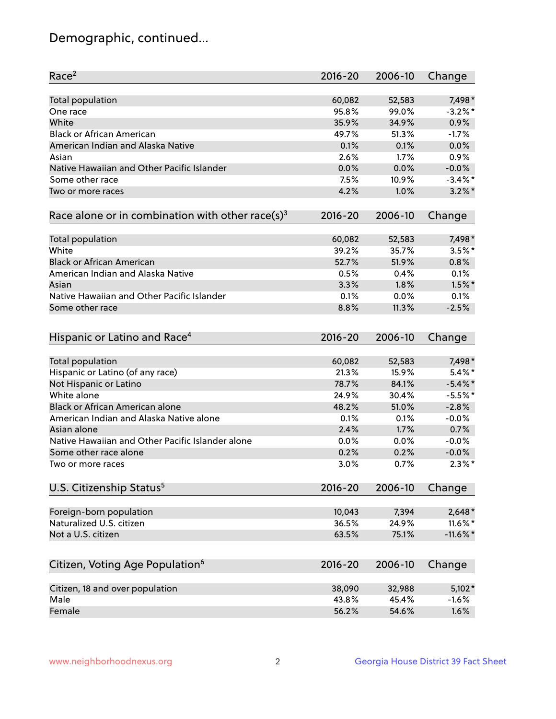## Demographic, continued...

| Race <sup>2</sup>                                            | $2016 - 20$ | 2006-10 | Change      |
|--------------------------------------------------------------|-------------|---------|-------------|
| <b>Total population</b>                                      | 60,082      | 52,583  | 7,498*      |
| One race                                                     | 95.8%       | 99.0%   | $-3.2%$ *   |
| White                                                        | 35.9%       | 34.9%   | 0.9%        |
| <b>Black or African American</b>                             | 49.7%       | 51.3%   | $-1.7%$     |
| American Indian and Alaska Native                            | 0.1%        | 0.1%    | 0.0%        |
| Asian                                                        | 2.6%        | 1.7%    | 0.9%        |
| Native Hawaiian and Other Pacific Islander                   | 0.0%        | 0.0%    | $-0.0%$     |
| Some other race                                              | 7.5%        | 10.9%   | $-3.4\%$ *  |
| Two or more races                                            | 4.2%        | 1.0%    | $3.2\%$ *   |
| Race alone or in combination with other race(s) <sup>3</sup> | $2016 - 20$ | 2006-10 | Change      |
| Total population                                             | 60,082      | 52,583  | 7,498*      |
| White                                                        | 39.2%       | 35.7%   | $3.5%$ *    |
| <b>Black or African American</b>                             | 52.7%       | 51.9%   | 0.8%        |
| American Indian and Alaska Native                            | 0.5%        | 0.4%    | 0.1%        |
| Asian                                                        | 3.3%        | 1.8%    | $1.5\%$ *   |
| Native Hawaiian and Other Pacific Islander                   | 0.1%        | 0.0%    | 0.1%        |
| Some other race                                              | 8.8%        | 11.3%   | $-2.5%$     |
| Hispanic or Latino and Race <sup>4</sup>                     | $2016 - 20$ | 2006-10 | Change      |
| <b>Total population</b>                                      | 60,082      | 52,583  | 7,498*      |
| Hispanic or Latino (of any race)                             | 21.3%       | 15.9%   | $5.4\%$ *   |
| Not Hispanic or Latino                                       | 78.7%       | 84.1%   | $-5.4\%$ *  |
| White alone                                                  | 24.9%       | 30.4%   | $-5.5%$ *   |
| <b>Black or African American alone</b>                       | 48.2%       | 51.0%   | $-2.8%$     |
| American Indian and Alaska Native alone                      | 0.1%        | 0.1%    | $-0.0%$     |
| Asian alone                                                  | 2.4%        | 1.7%    | 0.7%        |
| Native Hawaiian and Other Pacific Islander alone             | 0.0%        | 0.0%    | $-0.0%$     |
| Some other race alone                                        | 0.2%        | 0.2%    | $-0.0%$     |
| Two or more races                                            | 3.0%        | 0.7%    | $2.3\%$ *   |
| U.S. Citizenship Status <sup>5</sup>                         | $2016 - 20$ | 2006-10 | Change      |
| Foreign-born population                                      | 10,043      | 7,394   | $2,648*$    |
| Naturalized U.S. citizen                                     | 36.5%       | 24.9%   | 11.6%*      |
| Not a U.S. citizen                                           | 63.5%       | 75.1%   | $-11.6\%$ * |
|                                                              |             |         |             |
| Citizen, Voting Age Population <sup>6</sup>                  | $2016 - 20$ | 2006-10 | Change      |
| Citizen, 18 and over population                              | 38,090      | 32,988  | $5,102*$    |
| Male                                                         | 43.8%       | 45.4%   | $-1.6%$     |
| Female                                                       | 56.2%       | 54.6%   | 1.6%        |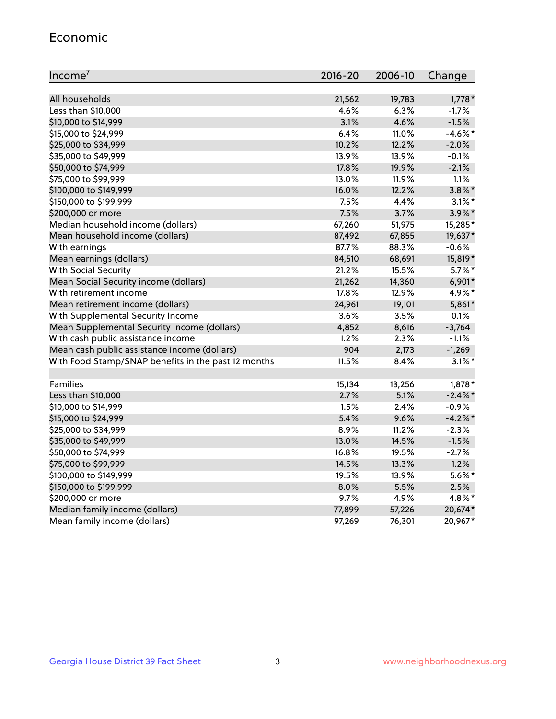#### Economic

| Income <sup>7</sup>                                 | $2016 - 20$ | 2006-10 | Change     |
|-----------------------------------------------------|-------------|---------|------------|
|                                                     |             |         |            |
| All households                                      | 21,562      | 19,783  | $1,778*$   |
| Less than \$10,000                                  | 4.6%        | 6.3%    | $-1.7%$    |
| \$10,000 to \$14,999                                | 3.1%        | 4.6%    | $-1.5%$    |
| \$15,000 to \$24,999                                | 6.4%        | 11.0%   | $-4.6\%$ * |
| \$25,000 to \$34,999                                | 10.2%       | 12.2%   | $-2.0%$    |
| \$35,000 to \$49,999                                | 13.9%       | 13.9%   | $-0.1%$    |
| \$50,000 to \$74,999                                | 17.8%       | 19.9%   | $-2.1%$    |
| \$75,000 to \$99,999                                | 13.0%       | 11.9%   | 1.1%       |
| \$100,000 to \$149,999                              | 16.0%       | 12.2%   | $3.8\%$ *  |
| \$150,000 to \$199,999                              | 7.5%        | 4.4%    | $3.1\%$ *  |
| \$200,000 or more                                   | 7.5%        | 3.7%    | $3.9\%$ *  |
| Median household income (dollars)                   | 67,260      | 51,975  | 15,285*    |
| Mean household income (dollars)                     | 87,492      | 67,855  | 19,637*    |
| With earnings                                       | 87.7%       | 88.3%   | $-0.6%$    |
| Mean earnings (dollars)                             | 84,510      | 68,691  | 15,819*    |
| <b>With Social Security</b>                         | 21.2%       | 15.5%   | $5.7\%$ *  |
| Mean Social Security income (dollars)               | 21,262      | 14,360  | 6,901*     |
| With retirement income                              | 17.8%       | 12.9%   | 4.9%*      |
| Mean retirement income (dollars)                    | 24,961      | 19,101  | 5,861*     |
| With Supplemental Security Income                   | 3.6%        | 3.5%    | 0.1%       |
| Mean Supplemental Security Income (dollars)         | 4,852       | 8,616   | $-3,764$   |
| With cash public assistance income                  | 1.2%        | 2.3%    | $-1.1%$    |
| Mean cash public assistance income (dollars)        | 904         | 2,173   | $-1,269$   |
| With Food Stamp/SNAP benefits in the past 12 months | 11.5%       | 8.4%    | $3.1\%$ *  |
|                                                     |             |         |            |
| Families                                            | 15,134      | 13,256  | $1,878*$   |
| Less than \$10,000                                  | 2.7%        | 5.1%    | $-2.4\%$ * |
| \$10,000 to \$14,999                                | 1.5%        | 2.4%    | $-0.9%$    |
| \$15,000 to \$24,999                                | 5.4%        | 9.6%    | $-4.2%$    |
| \$25,000 to \$34,999                                | 8.9%        | 11.2%   | $-2.3%$    |
| \$35,000 to \$49,999                                | 13.0%       | 14.5%   | $-1.5%$    |
| \$50,000 to \$74,999                                | 16.8%       | 19.5%   | $-2.7%$    |
| \$75,000 to \$99,999                                | 14.5%       | 13.3%   | 1.2%       |
| \$100,000 to \$149,999                              | 19.5%       | 13.9%   | $5.6\%$ *  |
| \$150,000 to \$199,999                              | 8.0%        | 5.5%    | 2.5%       |
| \$200,000 or more                                   | 9.7%        | 4.9%    | 4.8%*      |
| Median family income (dollars)                      | 77,899      | 57,226  | 20,674*    |
| Mean family income (dollars)                        | 97,269      | 76,301  | 20,967*    |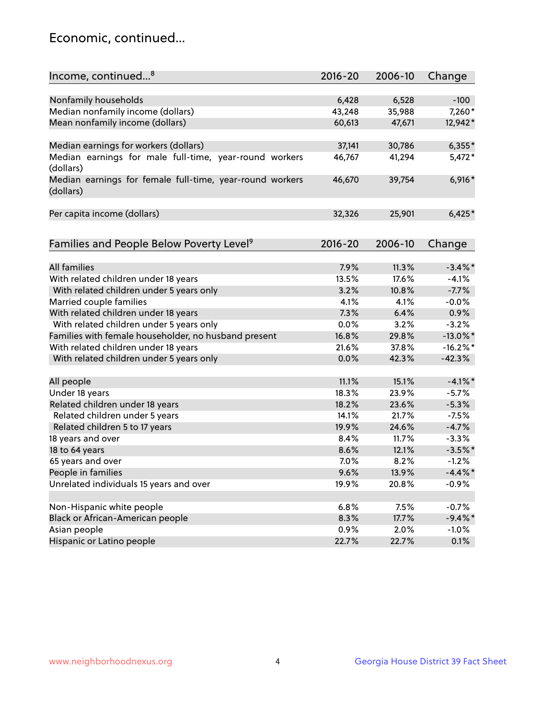## Economic, continued...

| Income, continued <sup>8</sup>                                        | $2016 - 20$ | 2006-10 | Change      |
|-----------------------------------------------------------------------|-------------|---------|-------------|
|                                                                       |             |         |             |
| Nonfamily households                                                  | 6,428       | 6,528   | $-100$      |
| Median nonfamily income (dollars)                                     | 43,248      | 35,988  | 7,260*      |
| Mean nonfamily income (dollars)                                       | 60,613      | 47,671  | 12,942*     |
| Median earnings for workers (dollars)                                 | 37,141      | 30,786  | $6,355*$    |
| Median earnings for male full-time, year-round workers                | 46,767      | 41,294  | $5,472*$    |
| (dollars)                                                             |             |         |             |
| Median earnings for female full-time, year-round workers<br>(dollars) | 46,670      | 39,754  | $6,916*$    |
| Per capita income (dollars)                                           | 32,326      | 25,901  | $6,425*$    |
|                                                                       |             |         |             |
| Families and People Below Poverty Level <sup>9</sup>                  | $2016 - 20$ | 2006-10 | Change      |
|                                                                       |             |         |             |
| <b>All families</b>                                                   | 7.9%        | 11.3%   | $-3.4\%$ *  |
| With related children under 18 years                                  | 13.5%       | 17.6%   | $-4.1%$     |
| With related children under 5 years only                              | 3.2%        | 10.8%   | $-7.7%$     |
| Married couple families                                               | 4.1%        | 4.1%    | $-0.0%$     |
| With related children under 18 years                                  | 7.3%        | 6.4%    | 0.9%        |
| With related children under 5 years only                              | 0.0%        | 3.2%    | $-3.2%$     |
| Families with female householder, no husband present                  | 16.8%       | 29.8%   | $-13.0\%$ * |
| With related children under 18 years                                  | 21.6%       | 37.8%   | $-16.2\%$ * |
| With related children under 5 years only                              | 0.0%        | 42.3%   | $-42.3%$    |
| All people                                                            | 11.1%       | 15.1%   | $-4.1\%$ *  |
| Under 18 years                                                        | 18.3%       | 23.9%   | $-5.7%$     |
| Related children under 18 years                                       | 18.2%       | 23.6%   | $-5.3%$     |
| Related children under 5 years                                        | 14.1%       | 21.7%   | $-7.5%$     |
| Related children 5 to 17 years                                        | 19.9%       | 24.6%   | $-4.7%$     |
| 18 years and over                                                     | 8.4%        | 11.7%   | $-3.3%$     |
| 18 to 64 years                                                        | 8.6%        | 12.1%   | $-3.5%$ *   |
| 65 years and over                                                     | 7.0%        | 8.2%    | $-1.2%$     |
| People in families                                                    | 9.6%        | 13.9%   | $-4.4\%$ *  |
| Unrelated individuals 15 years and over                               | 19.9%       | 20.8%   | $-0.9%$     |
|                                                                       |             |         |             |
| Non-Hispanic white people                                             | 6.8%        | 7.5%    | $-0.7%$     |
| Black or African-American people                                      | 8.3%        | 17.7%   | $-9.4\%$ *  |
| Asian people                                                          | 0.9%        | 2.0%    | $-1.0%$     |
| Hispanic or Latino people                                             | 22.7%       | 22.7%   | 0.1%        |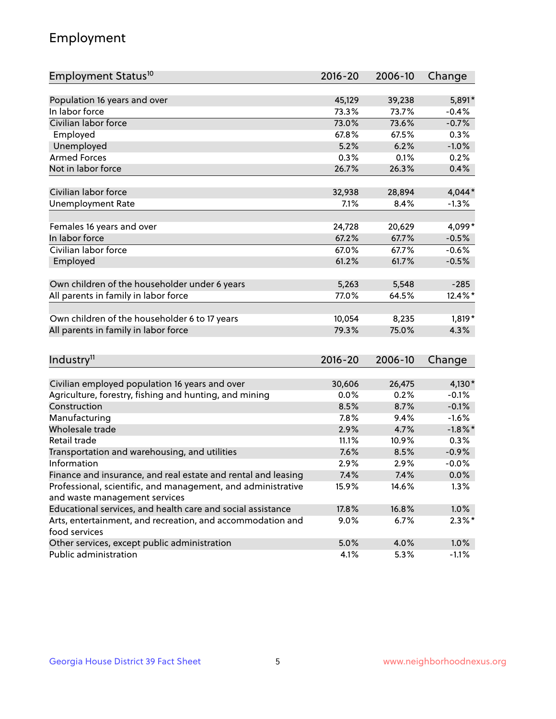## Employment

| Employment Status <sup>10</sup>                                                               | $2016 - 20$ | 2006-10      | Change     |
|-----------------------------------------------------------------------------------------------|-------------|--------------|------------|
|                                                                                               |             |              |            |
| Population 16 years and over                                                                  | 45,129      | 39,238       | 5,891*     |
| In labor force                                                                                | 73.3%       | 73.7%        | $-0.4%$    |
| Civilian labor force                                                                          | 73.0%       | 73.6%        | $-0.7%$    |
| Employed                                                                                      | 67.8%       | 67.5%        | 0.3%       |
| Unemployed                                                                                    | 5.2%        | 6.2%         | $-1.0%$    |
| <b>Armed Forces</b>                                                                           | 0.3%        | 0.1%         | 0.2%       |
| Not in labor force                                                                            | 26.7%       | 26.3%        | 0.4%       |
|                                                                                               |             |              |            |
| Civilian labor force                                                                          | 32,938      | 28,894       | $4,044*$   |
| <b>Unemployment Rate</b>                                                                      | 7.1%        | 8.4%         | $-1.3%$    |
| Females 16 years and over                                                                     | 24,728      | 20,629       | 4,099*     |
| In labor force                                                                                | 67.2%       | 67.7%        | $-0.5%$    |
| Civilian labor force                                                                          | 67.0%       | 67.7%        | $-0.6%$    |
| Employed                                                                                      | 61.2%       | 61.7%        | $-0.5%$    |
|                                                                                               |             |              |            |
| Own children of the householder under 6 years                                                 | 5,263       | 5,548        | $-285$     |
| All parents in family in labor force                                                          | 77.0%       | 64.5%        | 12.4%*     |
|                                                                                               |             |              |            |
| Own children of the householder 6 to 17 years                                                 | 10,054      | 8,235        | $1,819*$   |
| All parents in family in labor force                                                          | 79.3%       | 75.0%        | 4.3%       |
|                                                                                               |             |              |            |
| Industry <sup>11</sup>                                                                        | $2016 - 20$ | 2006-10      | Change     |
|                                                                                               |             |              |            |
| Civilian employed population 16 years and over                                                | 30,606      | 26,475       | 4,130*     |
| Agriculture, forestry, fishing and hunting, and mining                                        | 0.0%        | 0.2%         | $-0.1%$    |
| Construction                                                                                  | 8.5%        | 8.7%         | $-0.1%$    |
| Manufacturing<br>Wholesale trade                                                              | 7.8%        | 9.4%         | $-1.6%$    |
|                                                                                               | 2.9%        | 4.7%         | $-1.8\%$ * |
| Retail trade                                                                                  | 11.1%       | 10.9%        | 0.3%       |
| Transportation and warehousing, and utilities<br>Information                                  | 7.6%        | 8.5%<br>2.9% | $-0.9%$    |
|                                                                                               | 2.9%        |              | $-0.0%$    |
| Finance and insurance, and real estate and rental and leasing                                 | 7.4%        | 7.4%         | $0.0\%$    |
| Professional, scientific, and management, and administrative<br>and waste management services | 15.9%       | 14.6%        | 1.3%       |
| Educational services, and health care and social assistance                                   | 17.8%       | 16.8%        | 1.0%       |
| Arts, entertainment, and recreation, and accommodation and                                    | $9.0\%$     | 6.7%         | $2.3\%$ *  |
| food services                                                                                 |             |              |            |
| Other services, except public administration                                                  | 5.0%        | 4.0%         | 1.0%       |
| Public administration                                                                         | 4.1%        | 5.3%         | $-1.1%$    |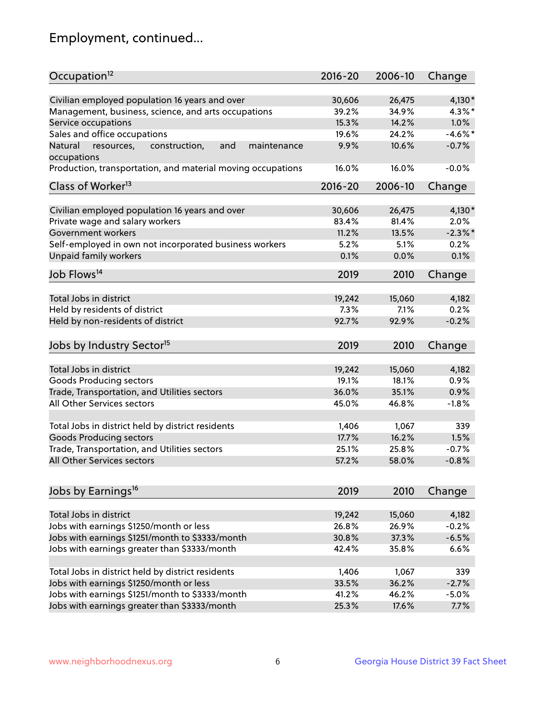## Employment, continued...

| Occupation <sup>12</sup>                                     | $2016 - 20$ | 2006-10 | Change     |
|--------------------------------------------------------------|-------------|---------|------------|
| Civilian employed population 16 years and over               | 30,606      | 26,475  | 4,130*     |
| Management, business, science, and arts occupations          | 39.2%       | 34.9%   | $4.3\%$ *  |
| Service occupations                                          | 15.3%       | 14.2%   | 1.0%       |
| Sales and office occupations                                 | 19.6%       | 24.2%   | $-4.6\%$ * |
| Natural<br>and<br>resources,<br>construction,<br>maintenance | 9.9%        | 10.6%   | $-0.7%$    |
| occupations                                                  |             |         |            |
| Production, transportation, and material moving occupations  | 16.0%       | 16.0%   | $-0.0%$    |
| Class of Worker <sup>13</sup>                                | $2016 - 20$ | 2006-10 | Change     |
|                                                              |             |         |            |
| Civilian employed population 16 years and over               | 30,606      | 26,475  | $4,130*$   |
| Private wage and salary workers                              | 83.4%       | 81.4%   | 2.0%       |
| Government workers                                           | 11.2%       | 13.5%   | $-2.3\%$ * |
| Self-employed in own not incorporated business workers       | 5.2%        | 5.1%    | 0.2%       |
| Unpaid family workers                                        | 0.1%        | 0.0%    | 0.1%       |
| Job Flows <sup>14</sup>                                      | 2019        | 2010    | Change     |
|                                                              |             |         |            |
| Total Jobs in district                                       | 19,242      | 15,060  | 4,182      |
| Held by residents of district                                | 7.3%        | 7.1%    | 0.2%       |
| Held by non-residents of district                            | 92.7%       | 92.9%   | $-0.2%$    |
| Jobs by Industry Sector <sup>15</sup>                        | 2019        | 2010    | Change     |
|                                                              |             |         |            |
| Total Jobs in district                                       | 19,242      | 15,060  | 4,182      |
| Goods Producing sectors                                      | 19.1%       | 18.1%   | 0.9%       |
| Trade, Transportation, and Utilities sectors                 | 36.0%       | 35.1%   | 0.9%       |
| All Other Services sectors                                   | 45.0%       | 46.8%   | $-1.8%$    |
|                                                              |             |         |            |
| Total Jobs in district held by district residents            | 1,406       | 1,067   | 339        |
| <b>Goods Producing sectors</b>                               | 17.7%       | 16.2%   | 1.5%       |
| Trade, Transportation, and Utilities sectors                 | 25.1%       | 25.8%   | $-0.7%$    |
| All Other Services sectors                                   | 57.2%       | 58.0%   | $-0.8%$    |
|                                                              |             |         |            |
| Jobs by Earnings <sup>16</sup>                               | 2019        | 2010    | Change     |
| Total Jobs in district                                       | 19,242      |         | 4,182      |
|                                                              |             | 15,060  |            |
| Jobs with earnings \$1250/month or less                      | 26.8%       | 26.9%   | $-0.2%$    |
| Jobs with earnings \$1251/month to \$3333/month              | 30.8%       | 37.3%   | $-6.5%$    |
| Jobs with earnings greater than \$3333/month                 | 42.4%       | 35.8%   | 6.6%       |
| Total Jobs in district held by district residents            | 1,406       | 1,067   | 339        |
| Jobs with earnings \$1250/month or less                      | 33.5%       | 36.2%   | $-2.7%$    |
| Jobs with earnings \$1251/month to \$3333/month              | 41.2%       | 46.2%   | $-5.0%$    |
| Jobs with earnings greater than \$3333/month                 | 25.3%       | 17.6%   | 7.7%       |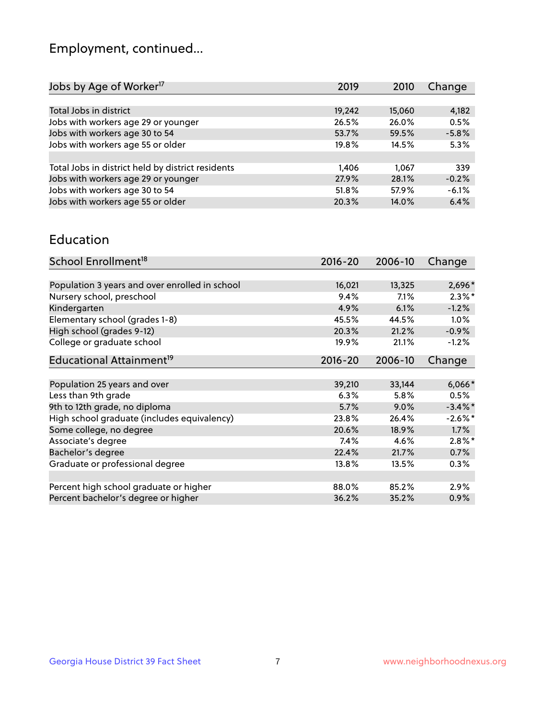## Employment, continued...

| Change<br>2019<br>2010    |  |
|---------------------------|--|
|                           |  |
| 19,242<br>4,182<br>15,060 |  |
| 26.5%<br>26.0%<br>0.5%    |  |
| $-5.8%$<br>53.7%<br>59.5% |  |
| 5.3%<br>19.8%<br>14.5%    |  |
|                           |  |
| 339<br>1,406<br>1.067     |  |
| 27.9%<br>28.1%<br>$-0.2%$ |  |
| $-6.1%$<br>57.9%<br>51.8% |  |
| 6.4%<br>20.3%<br>14.0%    |  |
|                           |  |

#### Education

| School Enrollment <sup>18</sup>                | $2016 - 20$ | 2006-10 | Change     |
|------------------------------------------------|-------------|---------|------------|
|                                                |             |         |            |
| Population 3 years and over enrolled in school | 16,021      | 13,325  | 2,696*     |
| Nursery school, preschool                      | 9.4%        | 7.1%    | $2.3\%$ *  |
| Kindergarten                                   | 4.9%        | 6.1%    | $-1.2%$    |
| Elementary school (grades 1-8)                 | 45.5%       | 44.5%   | 1.0%       |
| High school (grades 9-12)                      | 20.3%       | 21.2%   | $-0.9%$    |
| College or graduate school                     | 19.9%       | 21.1%   | $-1.2%$    |
| Educational Attainment <sup>19</sup>           | $2016 - 20$ | 2006-10 | Change     |
|                                                |             |         |            |
| Population 25 years and over                   | 39,210      | 33,144  | $6,066*$   |
| Less than 9th grade                            | 6.3%        | 5.8%    | 0.5%       |
| 9th to 12th grade, no diploma                  | 5.7%        | 9.0%    | $-3.4\%$ * |
| High school graduate (includes equivalency)    | 23.8%       | 26.4%   | $-2.6\%$ * |
| Some college, no degree                        | 20.6%       | 18.9%   | 1.7%       |
| Associate's degree                             | 7.4%        | 4.6%    | $2.8\%$ *  |
| Bachelor's degree                              | 22.4%       | 21.7%   | 0.7%       |
| Graduate or professional degree                | 13.8%       | 13.5%   | 0.3%       |
|                                                |             |         |            |
| Percent high school graduate or higher         | 88.0%       | 85.2%   | $2.9\%$    |
| Percent bachelor's degree or higher            | 36.2%       | 35.2%   | 0.9%       |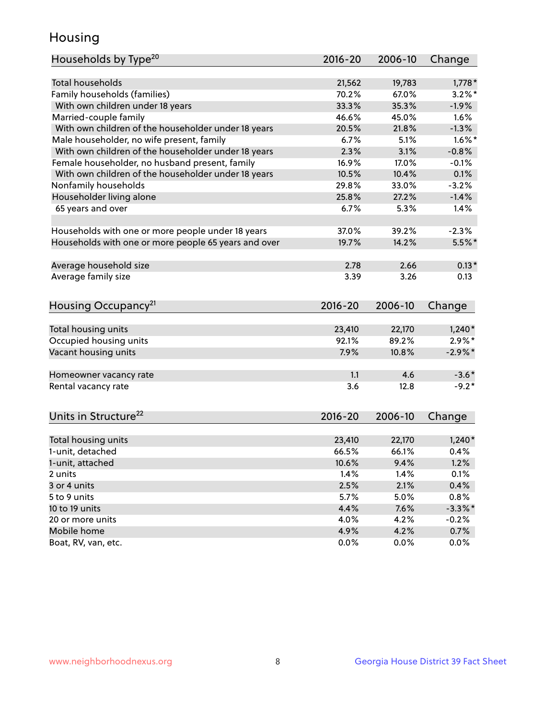## Housing

| Households by Type <sup>20</sup>                     | 2016-20     | 2006-10 | Change     |
|------------------------------------------------------|-------------|---------|------------|
|                                                      |             |         |            |
| <b>Total households</b>                              | 21,562      | 19,783  | $1,778*$   |
| Family households (families)                         | 70.2%       | 67.0%   | $3.2\%$ *  |
| With own children under 18 years                     | 33.3%       | 35.3%   | $-1.9%$    |
| Married-couple family                                | 46.6%       | 45.0%   | 1.6%       |
| With own children of the householder under 18 years  | 20.5%       | 21.8%   | $-1.3%$    |
| Male householder, no wife present, family            | 6.7%        | 5.1%    | $1.6\%$ *  |
| With own children of the householder under 18 years  | 2.3%        | 3.1%    | $-0.8%$    |
| Female householder, no husband present, family       | 16.9%       | 17.0%   | $-0.1%$    |
| With own children of the householder under 18 years  | 10.5%       | 10.4%   | 0.1%       |
| Nonfamily households                                 | 29.8%       | 33.0%   | $-3.2%$    |
| Householder living alone                             | 25.8%       | 27.2%   | $-1.4%$    |
| 65 years and over                                    | 6.7%        | 5.3%    | 1.4%       |
|                                                      |             |         |            |
| Households with one or more people under 18 years    | 37.0%       | 39.2%   | $-2.3%$    |
| Households with one or more people 65 years and over | 19.7%       | 14.2%   | 5.5%*      |
|                                                      |             |         |            |
| Average household size                               | 2.78        | 2.66    | $0.13*$    |
| Average family size                                  | 3.39        | 3.26    | 0.13       |
|                                                      |             |         |            |
| Housing Occupancy <sup>21</sup>                      | $2016 - 20$ | 2006-10 | Change     |
|                                                      |             |         |            |
| Total housing units                                  | 23,410      | 22,170  | $1,240*$   |
| Occupied housing units                               | 92.1%       | 89.2%   | $2.9\%*$   |
| Vacant housing units                                 | 7.9%        | 10.8%   | $-2.9\%*$  |
| Homeowner vacancy rate                               | 1.1         | 4.6     | $-3.6*$    |
| Rental vacancy rate                                  | 3.6         | 12.8    | $-9.2*$    |
|                                                      |             |         |            |
| Units in Structure <sup>22</sup>                     | $2016 - 20$ | 2006-10 | Change     |
|                                                      |             |         |            |
| Total housing units                                  | 23,410      | 22,170  | $1,240*$   |
| 1-unit, detached                                     | 66.5%       | 66.1%   | 0.4%       |
| 1-unit, attached                                     | 10.6%       | 9.4%    | 1.2%       |
| 2 units                                              | 1.4%        | 1.4%    | 0.1%       |
| 3 or 4 units                                         | 2.5%        | 2.1%    | 0.4%       |
| 5 to 9 units                                         | 5.7%        | 5.0%    | 0.8%       |
| 10 to 19 units                                       | 4.4%        | 7.6%    | $-3.3\%$ * |
| 20 or more units                                     | 4.0%        | 4.2%    | $-0.2%$    |
|                                                      |             |         |            |
| Mobile home<br>Boat, RV, van, etc.                   | 4.9%        | 4.2%    | 0.7%       |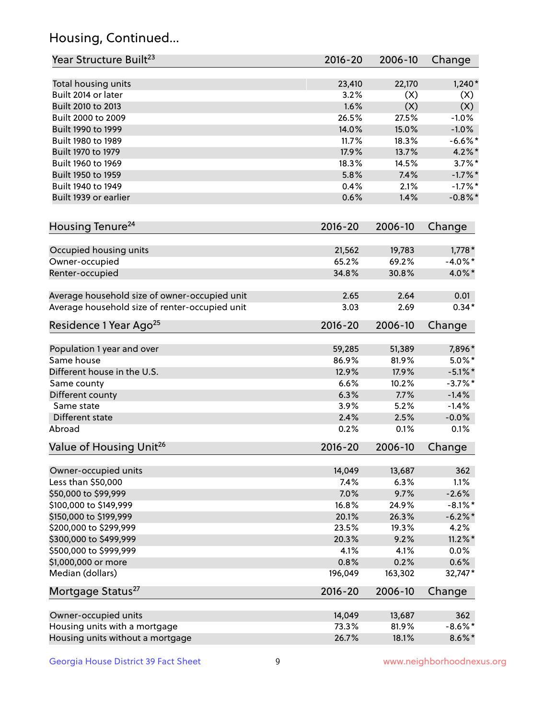## Housing, Continued...

| Year Structure Built <sup>23</sup>             | $2016 - 20$ | 2006-10 | Change     |
|------------------------------------------------|-------------|---------|------------|
| Total housing units                            | 23,410      | 22,170  | $1,240*$   |
| Built 2014 or later                            | 3.2%        | (X)     | (X)        |
| Built 2010 to 2013                             | 1.6%        | (X)     | (X)        |
| Built 2000 to 2009                             | 26.5%       | 27.5%   | $-1.0%$    |
| Built 1990 to 1999                             | 14.0%       | 15.0%   | $-1.0%$    |
| Built 1980 to 1989                             | 11.7%       | 18.3%   | $-6.6%$ *  |
| Built 1970 to 1979                             | 17.9%       | 13.7%   | $4.2\%$ *  |
| Built 1960 to 1969                             | 18.3%       | 14.5%   | $3.7\%$ *  |
| Built 1950 to 1959                             | 5.8%        | 7.4%    | $-1.7%$ *  |
| Built 1940 to 1949                             | 0.4%        | 2.1%    | $-1.7%$ *  |
| Built 1939 or earlier                          | 0.6%        | 1.4%    | $-0.8\%$ * |
| Housing Tenure <sup>24</sup>                   | $2016 - 20$ | 2006-10 | Change     |
| Occupied housing units                         | 21,562      | 19,783  | $1,778*$   |
| Owner-occupied                                 | 65.2%       | 69.2%   | $-4.0\%$ * |
| Renter-occupied                                | 34.8%       | 30.8%   | 4.0%*      |
| Average household size of owner-occupied unit  | 2.65        | 2.64    | 0.01       |
| Average household size of renter-occupied unit | 3.03        | 2.69    | $0.34*$    |
| Residence 1 Year Ago <sup>25</sup>             | $2016 - 20$ | 2006-10 | Change     |
| Population 1 year and over                     | 59,285      | 51,389  | 7,896*     |
| Same house                                     | 86.9%       | 81.9%   | $5.0\%$ *  |
| Different house in the U.S.                    | 12.9%       | 17.9%   | $-5.1\%$ * |
| Same county                                    | 6.6%        | 10.2%   | $-3.7%$ *  |
| Different county                               | 6.3%        | 7.7%    | $-1.4%$    |
| Same state                                     | 3.9%        | 5.2%    | $-1.4%$    |
| Different state                                | 2.4%        | 2.5%    | $-0.0%$    |
| Abroad                                         | 0.2%        | 0.1%    | 0.1%       |
| Value of Housing Unit <sup>26</sup>            | $2016 - 20$ | 2006-10 | Change     |
| Owner-occupied units                           | 14,049      | 13,687  | 362        |
| Less than \$50,000                             | 7.4%        | 6.3%    | 1.1%       |
| \$50,000 to \$99,999                           | 7.0%        | 9.7%    | $-2.6%$    |
| \$100,000 to \$149,999                         | 16.8%       | 24.9%   | $-8.1\%$ * |
| \$150,000 to \$199,999                         | 20.1%       | 26.3%   | $-6.2\%$ * |
| \$200,000 to \$299,999                         | 23.5%       | 19.3%   | 4.2%       |
| \$300,000 to \$499,999                         | 20.3%       | 9.2%    | $11.2\%$ * |
| \$500,000 to \$999,999                         | 4.1%        | 4.1%    | 0.0%       |
| \$1,000,000 or more                            | 0.8%        | 0.2%    | 0.6%       |
| Median (dollars)                               | 196,049     | 163,302 | 32,747*    |
| Mortgage Status <sup>27</sup>                  | $2016 - 20$ | 2006-10 | Change     |
| Owner-occupied units                           | 14,049      | 13,687  | 362        |
| Housing units with a mortgage                  | 73.3%       | 81.9%   | $-8.6\%$ * |
| Housing units without a mortgage               | 26.7%       | 18.1%   | $8.6\%$ *  |
|                                                |             |         |            |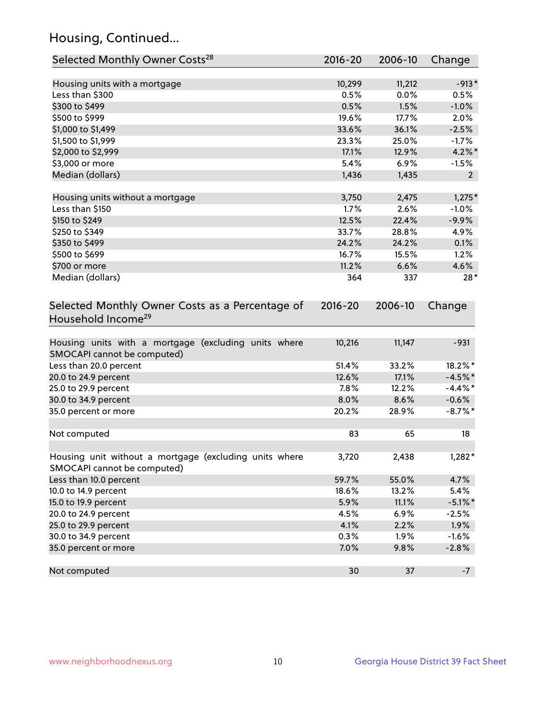## Housing, Continued...

| Selected Monthly Owner Costs <sup>28</sup>                                            | 2016-20     | 2006-10 | Change         |
|---------------------------------------------------------------------------------------|-------------|---------|----------------|
| Housing units with a mortgage                                                         | 10,299      | 11,212  | $-913*$        |
| Less than \$300                                                                       | 0.5%        | 0.0%    | 0.5%           |
| \$300 to \$499                                                                        | 0.5%        | 1.5%    | $-1.0%$        |
| \$500 to \$999                                                                        | 19.6%       | 17.7%   | 2.0%           |
| \$1,000 to \$1,499                                                                    | 33.6%       | 36.1%   | $-2.5%$        |
| \$1,500 to \$1,999                                                                    | 23.3%       | 25.0%   | $-1.7%$        |
| \$2,000 to \$2,999                                                                    | 17.1%       | 12.9%   | $4.2\%$ *      |
| \$3,000 or more                                                                       | 5.4%        | $6.9\%$ | $-1.5%$        |
| Median (dollars)                                                                      | 1,436       | 1,435   | $\overline{2}$ |
| Housing units without a mortgage                                                      | 3,750       | 2,475   | $1,275*$       |
| Less than \$150                                                                       | 1.7%        | 2.6%    | $-1.0%$        |
| \$150 to \$249                                                                        | 12.5%       | 22.4%   | $-9.9%$        |
| \$250 to \$349                                                                        | 33.7%       | 28.8%   | 4.9%           |
| \$350 to \$499                                                                        | 24.2%       | 24.2%   | 0.1%           |
| \$500 to \$699                                                                        | 16.7%       | 15.5%   | 1.2%           |
| \$700 or more                                                                         | 11.2%       | 6.6%    | 4.6%           |
| Median (dollars)                                                                      | 364         | 337     | $28*$          |
| Selected Monthly Owner Costs as a Percentage of<br>Household Income <sup>29</sup>     | $2016 - 20$ | 2006-10 | Change         |
| Housing units with a mortgage (excluding units where<br>SMOCAPI cannot be computed)   | 10,216      | 11,147  | $-931$         |
| Less than 20.0 percent                                                                | 51.4%       | 33.2%   | 18.2%*         |
| 20.0 to 24.9 percent                                                                  | 12.6%       | 17.1%   | $-4.5%$ *      |
| 25.0 to 29.9 percent                                                                  | 7.8%        | 12.2%   | $-4.4\%$ *     |
| 30.0 to 34.9 percent                                                                  | 8.0%        | 8.6%    | $-0.6%$        |
| 35.0 percent or more                                                                  | 20.2%       | 28.9%   | $-8.7\%$ *     |
| Not computed                                                                          | 83          | 65      | 18             |
| Housing unit without a mortgage (excluding units where<br>SMOCAPI cannot be computed) | 3,720       | 2,438   | $1,282*$       |
| Less than 10.0 percent                                                                | 59.7%       | 55.0%   | 4.7%           |
| 10.0 to 14.9 percent                                                                  | 18.6%       | 13.2%   | 5.4%           |
| 15.0 to 19.9 percent                                                                  | 5.9%        | 11.1%   | $-5.1\%$ *     |
| 20.0 to 24.9 percent                                                                  | 4.5%        | 6.9%    | $-2.5%$        |
| 25.0 to 29.9 percent                                                                  | 4.1%        | 2.2%    | 1.9%           |
| 30.0 to 34.9 percent                                                                  | 0.3%        | 1.9%    | $-1.6%$        |
| 35.0 percent or more                                                                  | 7.0%        | 9.8%    | $-2.8%$        |
| Not computed                                                                          | 30          | 37      | $-7$           |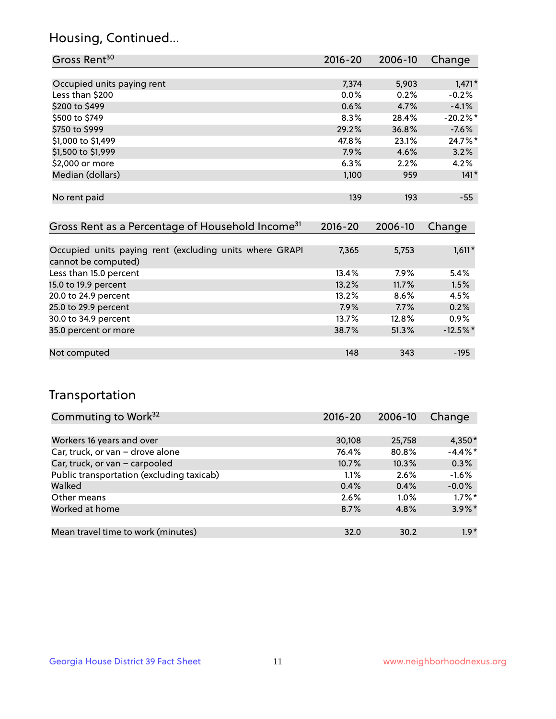### Housing, Continued...

| Gross Rent <sup>30</sup>                                     | 2016-20     | 2006-10 | Change     |
|--------------------------------------------------------------|-------------|---------|------------|
|                                                              |             |         |            |
| Occupied units paying rent                                   | 7,374       | 5,903   | $1,471*$   |
| Less than \$200                                              | $0.0\%$     | 0.2%    | $-0.2%$    |
| \$200 to \$499                                               | 0.6%        | 4.7%    | $-4.1%$    |
| \$500 to \$749                                               | 8.3%        | 28.4%   | $-20.2%$ * |
| \$750 to \$999                                               | 29.2%       | 36.8%   | $-7.6%$    |
| \$1,000 to \$1,499                                           | 47.8%       | 23.1%   | $24.7\%$ * |
| \$1,500 to \$1,999                                           | $7.9\%$     | 4.6%    | 3.2%       |
| \$2,000 or more                                              | 6.3%        | 2.2%    | 4.2%       |
| Median (dollars)                                             | 1,100       | 959     | $141*$     |
|                                                              |             |         |            |
| No rent paid                                                 | 139         | 193     | $-55$      |
|                                                              |             |         |            |
| Gross Rent as a Percentage of Household Income <sup>31</sup> | $2016 - 20$ | 2006-10 | Change     |

| Occupied units paying rent (excluding units where GRAPI<br>cannot be computed) | 7,365 | 5,753   | $1,611*$   |
|--------------------------------------------------------------------------------|-------|---------|------------|
| Less than 15.0 percent                                                         | 13.4% | $7.9\%$ | 5.4%       |
| 15.0 to 19.9 percent                                                           | 13.2% | 11.7%   | 1.5%       |
| 20.0 to 24.9 percent                                                           | 13.2% | 8.6%    | 4.5%       |
| 25.0 to 29.9 percent                                                           | 7.9%  | 7.7%    | 0.2%       |
| 30.0 to 34.9 percent                                                           | 13.7% | 12.8%   | $0.9\%$    |
| 35.0 percent or more                                                           | 38.7% | 51.3%   | $-12.5%$ * |
|                                                                                |       |         |            |
| Not computed                                                                   | 148   | 343     | $-195$     |

### Transportation

| Commuting to Work <sup>32</sup>           | 2016-20  | 2006-10 | Change     |
|-------------------------------------------|----------|---------|------------|
|                                           |          |         |            |
| Workers 16 years and over                 | 30,108   | 25,758  | $4,350*$   |
| Car, truck, or van - drove alone          | 76.4%    | 80.8%   | $-4.4\%$ * |
| Car, truck, or van - carpooled            | $10.7\%$ | 10.3%   | 0.3%       |
| Public transportation (excluding taxicab) | 1.1%     | 2.6%    | $-1.6%$    |
| Walked                                    | 0.4%     | 0.4%    | $-0.0%$    |
| Other means                               | 2.6%     | $1.0\%$ | $1.7\%$ *  |
| Worked at home                            | 8.7%     | 4.8%    | $3.9\%$ *  |
|                                           |          |         |            |
| Mean travel time to work (minutes)        | 32.0     | 30.2    | $1.9*$     |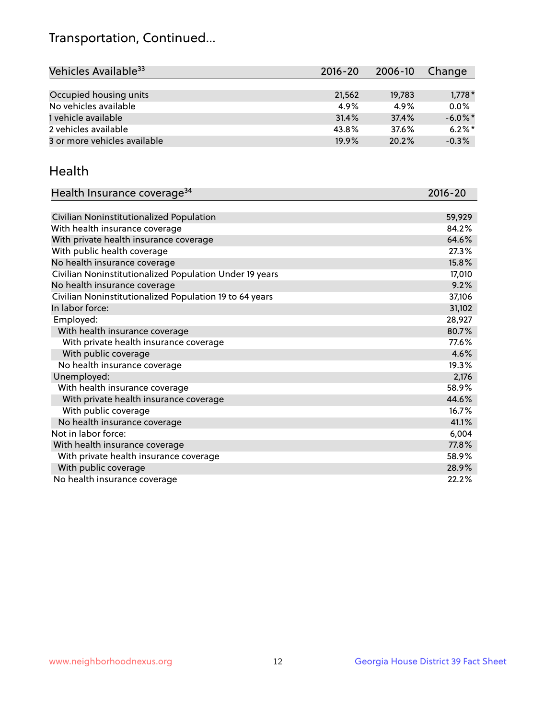## Transportation, Continued...

| Vehicles Available <sup>33</sup> | 2016-20 | 2006-10 | Change     |
|----------------------------------|---------|---------|------------|
|                                  |         |         |            |
| Occupied housing units           | 21,562  | 19,783  | $1,778*$   |
| No vehicles available            | 4.9%    | 4.9%    | 0.0%       |
| 1 vehicle available              | 31.4%   | 37.4%   | $-6.0\%$ * |
| 2 vehicles available             | 43.8%   | 37.6%   | $6.2\%$ *  |
| 3 or more vehicles available     | 19.9%   | 20.2%   | $-0.3%$    |

#### Health

| Health Insurance coverage <sup>34</sup>                 | 2016-20 |
|---------------------------------------------------------|---------|
|                                                         |         |
| Civilian Noninstitutionalized Population                | 59,929  |
| With health insurance coverage                          | 84.2%   |
| With private health insurance coverage                  | 64.6%   |
| With public health coverage                             | 27.3%   |
| No health insurance coverage                            | 15.8%   |
| Civilian Noninstitutionalized Population Under 19 years | 17,010  |
| No health insurance coverage                            | 9.2%    |
| Civilian Noninstitutionalized Population 19 to 64 years | 37,106  |
| In labor force:                                         | 31,102  |
| Employed:                                               | 28,927  |
| With health insurance coverage                          | 80.7%   |
| With private health insurance coverage                  | 77.6%   |
| With public coverage                                    | 4.6%    |
| No health insurance coverage                            | 19.3%   |
| Unemployed:                                             | 2,176   |
| With health insurance coverage                          | 58.9%   |
| With private health insurance coverage                  | 44.6%   |
| With public coverage                                    | 16.7%   |
| No health insurance coverage                            | 41.1%   |
| Not in labor force:                                     | 6,004   |
| With health insurance coverage                          | 77.8%   |
| With private health insurance coverage                  | 58.9%   |
| With public coverage                                    | 28.9%   |
| No health insurance coverage                            | 22.2%   |